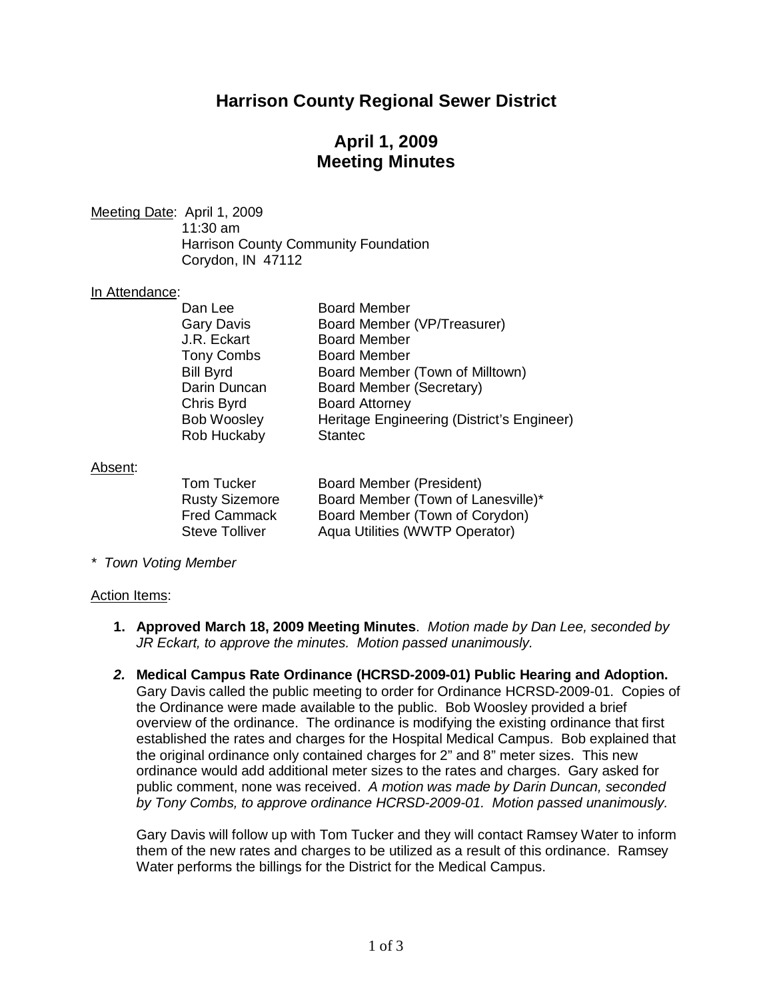# **Harrison County Regional Sewer District**

# **April 1, 2009 Meeting Minutes**

Meeting Date: April 1, 2009 11:30 am Harrison County Community Foundation Corydon, IN 47112

#### In Attendance:

| Dan Lee            | <b>Board Member</b>                        |
|--------------------|--------------------------------------------|
| <b>Gary Davis</b>  | Board Member (VP/Treasurer)                |
| J.R. Eckart        | <b>Board Member</b>                        |
| Tony Combs         | <b>Board Member</b>                        |
| <b>Bill Byrd</b>   | Board Member (Town of Milltown)            |
| Darin Duncan       | Board Member (Secretary)                   |
| Chris Byrd         | <b>Board Attorney</b>                      |
| <b>Bob Woosley</b> | Heritage Engineering (District's Engineer) |
| Rob Huckaby        | <b>Stantec</b>                             |
|                    |                                            |

#### Absent:

| Tom Tucker            | <b>Board Member (President)</b>    |
|-----------------------|------------------------------------|
| <b>Rusty Sizemore</b> | Board Member (Town of Lanesville)* |
| <b>Fred Cammack</b>   | Board Member (Town of Corydon)     |
| <b>Steve Tolliver</b> | Aqua Utilities (WWTP Operator)     |

*\* Town Voting Member*

#### Action Items:

- **1. Approved March 18, 2009 Meeting Minutes**. *Motion made by Dan Lee, seconded by JR Eckart, to approve the minutes. Motion passed unanimously.*
- *2.* **Medical Campus Rate Ordinance (HCRSD-2009-01) Public Hearing and Adoption.** Gary Davis called the public meeting to order for Ordinance HCRSD-2009-01. Copies of the Ordinance were made available to the public. Bob Woosley provided a brief overview of the ordinance. The ordinance is modifying the existing ordinance that first established the rates and charges for the Hospital Medical Campus. Bob explained that the original ordinance only contained charges for 2" and 8" meter sizes. This new ordinance would add additional meter sizes to the rates and charges. Gary asked for public comment, none was received. *A motion was made by Darin Duncan, seconded by Tony Combs, to approve ordinance HCRSD-2009-01. Motion passed unanimously.*

Gary Davis will follow up with Tom Tucker and they will contact Ramsey Water to inform them of the new rates and charges to be utilized as a result of this ordinance. Ramsey Water performs the billings for the District for the Medical Campus.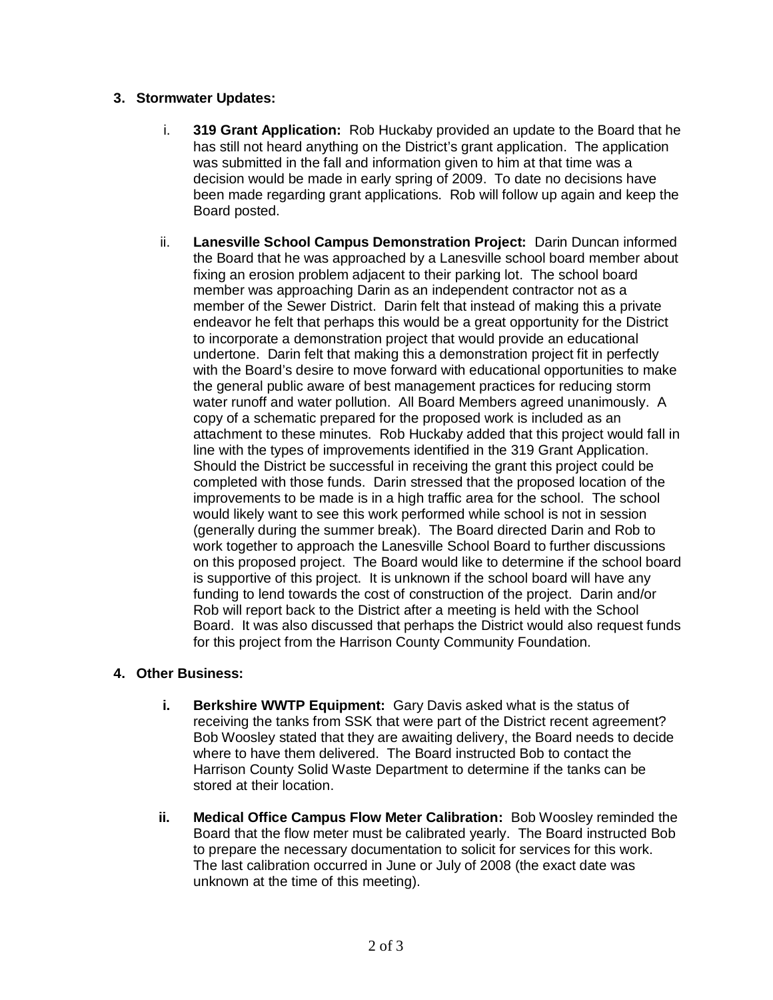### **3. Stormwater Updates:**

- i. **319 Grant Application:** Rob Huckaby provided an update to the Board that he has still not heard anything on the District's grant application. The application was submitted in the fall and information given to him at that time was a decision would be made in early spring of 2009. To date no decisions have been made regarding grant applications. Rob will follow up again and keep the Board posted.
- ii. **Lanesville School Campus Demonstration Project:** Darin Duncan informed the Board that he was approached by a Lanesville school board member about fixing an erosion problem adjacent to their parking lot. The school board member was approaching Darin as an independent contractor not as a member of the Sewer District. Darin felt that instead of making this a private endeavor he felt that perhaps this would be a great opportunity for the District to incorporate a demonstration project that would provide an educational undertone. Darin felt that making this a demonstration project fit in perfectly with the Board's desire to move forward with educational opportunities to make the general public aware of best management practices for reducing storm water runoff and water pollution. All Board Members agreed unanimously. A copy of a schematic prepared for the proposed work is included as an attachment to these minutes. Rob Huckaby added that this project would fall in line with the types of improvements identified in the 319 Grant Application. Should the District be successful in receiving the grant this project could be completed with those funds. Darin stressed that the proposed location of the improvements to be made is in a high traffic area for the school. The school would likely want to see this work performed while school is not in session (generally during the summer break). The Board directed Darin and Rob to work together to approach the Lanesville School Board to further discussions on this proposed project. The Board would like to determine if the school board is supportive of this project. It is unknown if the school board will have any funding to lend towards the cost of construction of the project. Darin and/or Rob will report back to the District after a meeting is held with the School Board. It was also discussed that perhaps the District would also request funds for this project from the Harrison County Community Foundation.

### **4. Other Business:**

- **i. Berkshire WWTP Equipment:** Gary Davis asked what is the status of receiving the tanks from SSK that were part of the District recent agreement? Bob Woosley stated that they are awaiting delivery, the Board needs to decide where to have them delivered. The Board instructed Bob to contact the Harrison County Solid Waste Department to determine if the tanks can be stored at their location.
- **ii. Medical Office Campus Flow Meter Calibration:** Bob Woosley reminded the Board that the flow meter must be calibrated yearly. The Board instructed Bob to prepare the necessary documentation to solicit for services for this work. The last calibration occurred in June or July of 2008 (the exact date was unknown at the time of this meeting).